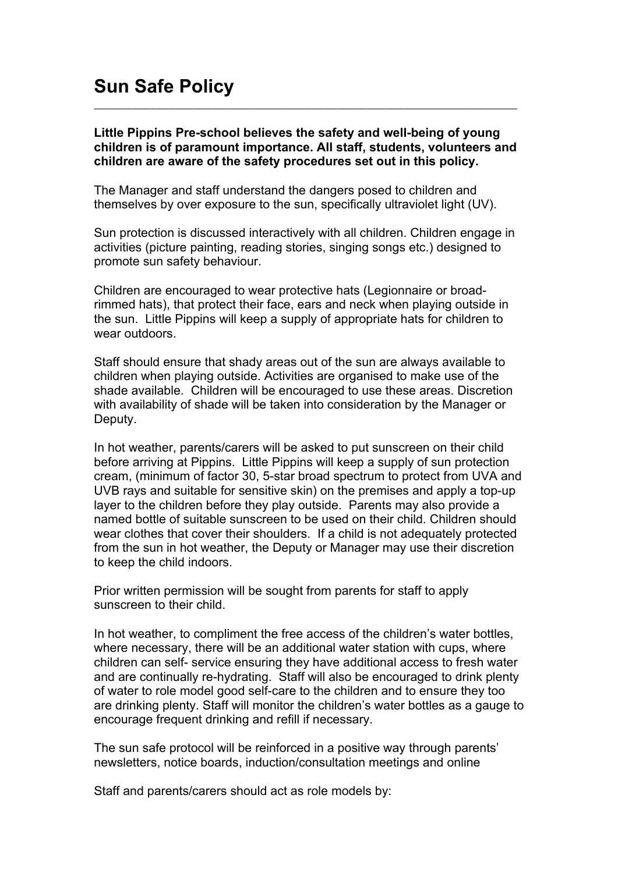## **Sun Safe Policy**

## **Little Pippins Pre-school believes the safety and well-being of young children is of paramount importance. All staff, students, volunteers and children are aware of the safety procedures set out in this policy.**

\_\_\_\_\_\_\_\_\_\_\_\_\_\_\_\_\_\_\_\_\_\_\_\_\_\_\_\_\_\_\_\_\_\_\_\_\_\_\_\_\_\_\_\_\_\_\_\_\_\_\_\_\_\_\_\_\_\_\_\_\_\_\_\_\_\_\_\_

The Manager and staff understand the dangers posed to children and themselves by over exposure to the sun, specifically ultraviolet light (UV).

Sun protection is discussed interactively with all children. Children engage in activities (picture painting, reading stories, singing songs etc.) designed to promote sun safety behaviour.

Children are encouraged to wear protective hats (Legionnaire or broadrimmed hats), that protect their face, ears and neck when playing outside in the sun. Little Pippins will keep a supply of appropriate hats for children to wear outdoors.

Staff should ensure that shady areas out of the sun are always available to children when playing outside. Activities are organised to make use of the shade available. Children will be encouraged to use these areas. Discretion with availability of shade will be taken into consideration by the Manager or Deputy.

In hot weather, parents/carers will be asked to put sunscreen on their child before arriving at Pippins. Little Pippins will keep a supply of sun protection cream, (minimum of factor 30, 5-star broad spectrum to protect from UVA and UVB rays and suitable for sensitive skin) on the premises and apply a top-up layer to the children before they play outside. Parents may also provide a named bottle of suitable sunscreen to be used on their child. Children should wear clothes that cover their shoulders. If a child is not adequately protected from the sun in hot weather, the Deputy or Manager may use their discretion to keep the child indoors.

Prior written permission will be sought from parents for staff to apply sunscreen to their child.

In hot weather, to compliment the free access of the children's water bottles, where necessary, there will be an additional water station with cups, where children can self- service ensuring they have additional access to fresh water and are continually re-hydrating. Staff will also be encouraged to drink plenty of water to role model good self-care to the children and to ensure they too are drinking plenty. Staff will monitor the children's water bottles as a gauge to encourage frequent drinking and refill if necessary.

The sun safe protocol will be reinforced in a positive way through parents' newsletters, notice boards, induction/consultation meetings and online

Staff and parents/carers should act as role models by: